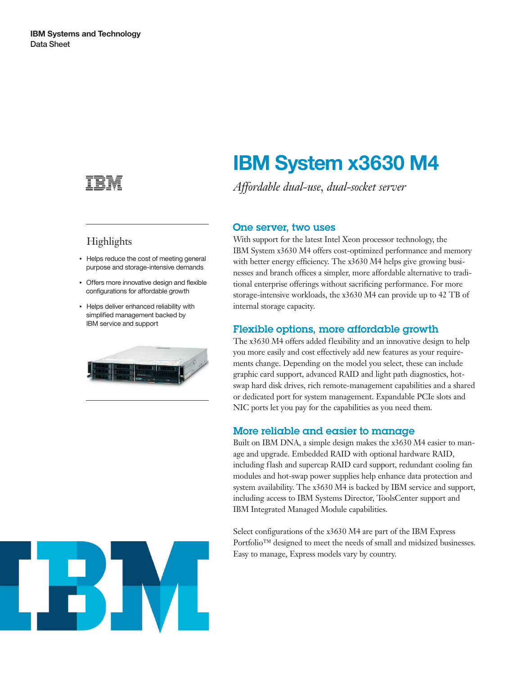

## **Highlights**

- Helps reduce the cost of meeting general purpose and storage-intensive demands
- Offers more innovative design and flexible configurations for affordable growth
- Helps deliver enhanced reliability with simplified management backed by IBM service and support

Built on IBM DNA, a simple design makes the x3630 M4 easier to manage and upgrade. Embedded RAID with optional hardware RAID, including flash and supercap RAID card support, redundant cooling fan modules and hot-swap power supplies help enhance data protection and system availability. The x3630 M4 is backed by IBM service and support, including access to IBM Systems Director, ToolsCenter support and IBM Integrated Managed Module capabilities.

Select configurations of the x3630 M4 are part of the IBM Express Portfolio™ designed to meet the needs of small and midsized businesses. Easy to manage, Express models vary by country.



# **IBM System x3630 M4**

*Affordable dual-use, dual-socket server*

#### One server, two uses

With support for the latest Intel Xeon processor technology, the IBM System x3630 M4 offers cost-optimized performance and memory with better energy efficiency. The x3630 M4 helps give growing businesses and branch offices a simpler, more affordable alternative to traditional enterprise offerings without sacrificing performance. For more storage-intensive workloads, the x3630 M4 can provide up to 42 TB of internal storage capacity.

### Flexible options, more affordable growth

The x3630 M4 offers added flexibility and an innovative design to help you more easily and cost effectively add new features as your requirements change. Depending on the model you select, these can include graphic card support, advanced RAID and light path diagnostics, hotswap hard disk drives, rich remote-management capabilities and a shared or dedicated port for system management. Expandable PCIe slots and NIC ports let you pay for the capabilities as you need them.

### More reliable and easier to manage